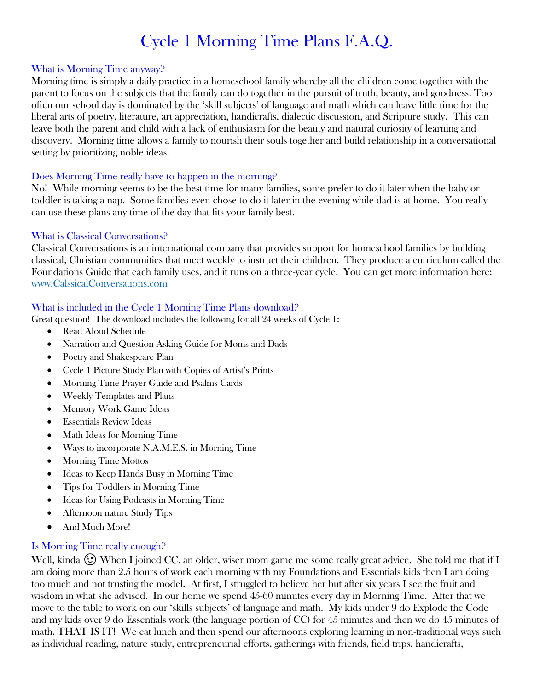# Cycle 1 Morning Time Plans F.A.Q.

## What is Morning Time anyway?

Morning time is simply a daily practice in a homeschool family whereby all the children come together with the parent to focus on the subjects that the family can do together in the pursuit of truth, beauty, and goodness. Too often our school day is dominated by the 'skill subjects' of language and math which can leave little time for the liberal arts of poetry, literature, art appreciation, handicrafts, dialectic discussion, and Scripture study. This can leave both the parent and child with a lack of enthusiasm for the beauty and natural curiosity of learning and discovery. Morning time allows a family to nourish their souls together and build relationship in a conversational setting by prioritizing noble ideas.

## Does Morning Time really have to happen in the morning?

No! While morning seems to be the best time for many families, some prefer to do it later when the baby or toddler is taking a nap. Some families even chose to do it later in the evening while dad is at home. You really can use these plans any time of the day that fits your family best.

## What is Classical Conversations?

Classical Conversations is an international company that provides support for homeschool families by building classical, Christian communities that meet weekly to instruct their children. They produce a curriculum called the Foundations Guide that each family uses, and it runs on a three-year cycle. You can get more information here: [www.CalssicalConversations.com](http://www.calssicalconversations.com/)

## What is included in the Cycle 1 Morning Time Plans download?

Great question! The download includes the following for all 24 weeks of Cycle 1:

- Read Aloud Schedule
- Narration and Question Asking Guide for Moms and Dads
- Poetry and Shakespeare Plan
- Cycle 1 Picture Study Plan with Copies of Artist's Prints
- Morning Time Prayer Guide and Psalms Cards
- Weekly Templates and Plans
- Memory Work Game Ideas
- Essentials Review Ideas
- Math Ideas for Morning Time
- Ways to incorporate N.A.M.E.S. in Morning Time
- Morning Time Mottos
- Ideas to Keep Hands Busy in Morning Time
- Tips for Toddlers in Morning Time
- Ideas for Using Podcasts in Morning Time
- Afternoon nature Study Tips
- And Much More!

## Is Morning Time really enough?

Well, kinda  $\circled{c}$  When I joined CC, an older, wiser mom game me some really great advice. She told me that if I am doing more than 2.5 hours of work each morning with my Foundations and Essentials kids then I am doing too much and not trusting the model. At first, I struggled to believe her but after six years I see the fruit and wisdom in what she advised. In our home we spend 45-60 minutes every day in Morning Time. After that we move to the table to work on our 'skills subjects' of language and math. My kids under 9 do Explode the Code and my kids over 9 do Essentials work (the language portion of CC) for 45 minutes and then we do 45 minutes of math. THAT IS IT! We eat lunch and then spend our afternoons exploring learning in non-traditional ways such as individual reading, nature study, entrepreneurial efforts, gatherings with friends, field trips, handicrafts,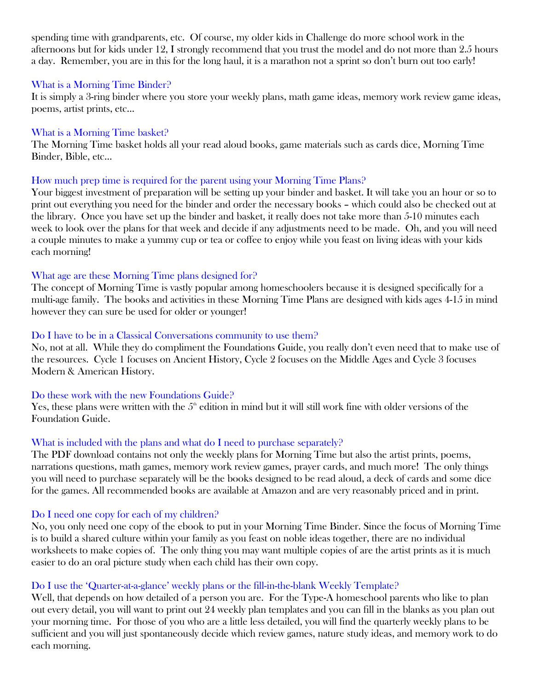spending time with grandparents, etc. Of course, my older kids in Challenge do more school work in the afternoons but for kids under 12, I strongly recommend that you trust the model and do not more than 2.5 hours a day. Remember, you are in this for the long haul, it is a marathon not a sprint so don't burn out too early!

### What is a Morning Time Binder?

It is simply a 3-ring binder where you store your weekly plans, math game ideas, memory work review game ideas, poems, artist prints, etc…

#### What is a Morning Time basket?

The Morning Time basket holds all your read aloud books, game materials such as cards dice, Morning Time Binder, Bible, etc…

### How much prep time is required for the parent using your Morning Time Plans?

Your biggest investment of preparation will be setting up your binder and basket. It will take you an hour or so to print out everything you need for the binder and order the necessary books – which could also be checked out at the library. Once you have set up the binder and basket, it really does not take more than 5-10 minutes each week to look over the plans for that week and decide if any adjustments need to be made. Oh, and you will need a couple minutes to make a yummy cup or tea or coffee to enjoy while you feast on living ideas with your kids each morning!

## What age are these Morning Time plans designed for?

The concept of Morning Time is vastly popular among homeschoolers because it is designed specifically for a multi-age family. The books and activities in these Morning Time Plans are designed with kids ages 4-15 in mind however they can sure be used for older or younger!

### Do I have to be in a Classical Conversations community to use them?

No, not at all. While they do compliment the Foundations Guide, you really don't even need that to make use of the resources. Cycle 1 focuses on Ancient History, Cycle 2 focuses on the Middle Ages and Cycle 3 focuses Modern & American History.

### Do these work with the new Foundations Guide?

Yes, these plans were written with the  $5<sup>th</sup>$  edition in mind but it will still work fine with older versions of the Foundation Guide.

### What is included with the plans and what do I need to purchase separately?

The PDF download contains not only the weekly plans for Morning Time but also the artist prints, poems, narrations questions, math games, memory work review games, prayer cards, and much more! The only things you will need to purchase separately will be the books designed to be read aloud, a deck of cards and some dice for the games. All recommended books are available at Amazon and are very reasonably priced and in print.

### Do I need one copy for each of my children?

No, you only need one copy of the ebook to put in your Morning Time Binder. Since the focus of Morning Time is to build a shared culture within your family as you feast on noble ideas together, there are no individual worksheets to make copies of. The only thing you may want multiple copies of are the artist prints as it is much easier to do an oral picture study when each child has their own copy.

## Do I use the 'Quarter-at-a-glance' weekly plans or the fill-in-the-blank Weekly Template?

Well, that depends on how detailed of a person you are. For the Type-A homeschool parents who like to plan out every detail, you will want to print out 24 weekly plan templates and you can fill in the blanks as you plan out your morning time. For those of you who are a little less detailed, you will find the quarterly weekly plans to be sufficient and you will just spontaneously decide which review games, nature study ideas, and memory work to do each morning.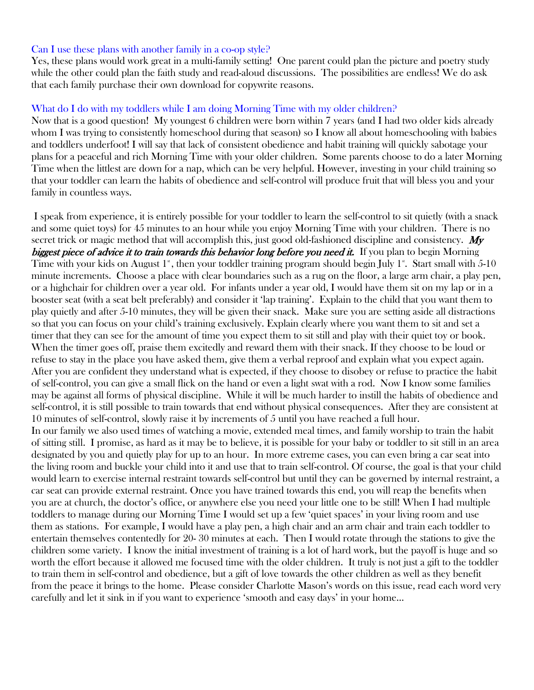### Can I use these plans with another family in a co-op style?

Yes, these plans would work great in a multi-family setting! One parent could plan the picture and poetry study while the other could plan the faith study and read-aloud discussions. The possibilities are endless! We do ask that each family purchase their own download for copywrite reasons.

## What do I do with my toddlers while I am doing Morning Time with my older children?

Now that is a good question! My youngest 6 children were born within 7 years (and I had two older kids already whom I was trying to consistently homeschool during that season) so I know all about homeschooling with babies and toddlers underfoot! I will say that lack of consistent obedience and habit training will quickly sabotage your plans for a peaceful and rich Morning Time with your older children. Some parents choose to do a later Morning Time when the littlest are down for a nap, which can be very helpful. However, investing in your child training so that your toddler can learn the habits of obedience and self-control will produce fruit that will bless you and your family in countless ways.

I speak from experience, it is entirely possible for your toddler to learn the self-control to sit quietly (with a snack and some quiet toys) for 45 minutes to an hour while you enjoy Morning Time with your children. There is no secret trick or magic method that will accomplish this, just good old-fashioned discipline and consistency.  $M_y$ biggest piece of advice it to train towards this behavior long before you need it. If you plan to begin Morning Time with your kids on August  $1^*$ , then your toddler training program should begin July  $1^*$ . Start small with 5-10 minute increments. Choose a place with clear boundaries such as a rug on the floor, a large arm chair, a play pen, or a highchair for children over a year old. For infants under a year old, I would have them sit on my lap or in a booster seat (with a seat belt preferably) and consider it 'lap training'. Explain to the child that you want them to play quietly and after 5-10 minutes, they will be given their snack. Make sure you are setting aside all distractions so that you can focus on your child's training exclusively. Explain clearly where you want them to sit and set a timer that they can see for the amount of time you expect them to sit still and play with their quiet toy or book. When the timer goes off, praise them excitedly and reward them with their snack. If they choose to be loud or refuse to stay in the place you have asked them, give them a verbal reproof and explain what you expect again. After you are confident they understand what is expected, if they choose to disobey or refuse to practice the habit of self-control, you can give a small flick on the hand or even a light swat with a rod. Now I know some families may be against all forms of physical discipline. While it will be much harder to instill the habits of obedience and self-control, it is still possible to train towards that end without physical consequences. After they are consistent at 10 minutes of self-control, slowly raise it by increments of 5 until you have reached a full hour. In our family we also used times of watching a movie, extended meal times, and family worship to train the habit of sitting still. I promise, as hard as it may be to believe, it is possible for your baby or toddler to sit still in an area designated by you and quietly play for up to an hour. In more extreme cases, you can even bring a car seat into the living room and buckle your child into it and use that to train self-control. Of course, the goal is that your child would learn to exercise internal restraint towards self-control but until they can be governed by internal restraint, a car seat can provide external restraint. Once you have trained towards this end, you will reap the benefits when you are at church, the doctor's office, or anywhere else you need your little one to be still! When I had multiple toddlers to manage during our Morning Time I would set up a few 'quiet spaces' in your living room and use them as stations. For example, I would have a play pen, a high chair and an arm chair and train each toddler to entertain themselves contentedly for 20- 30 minutes at each. Then I would rotate through the stations to give the children some variety. I know the initial investment of training is a lot of hard work, but the payoff is huge and so worth the effort because it allowed me focused time with the older children. It truly is not just a gift to the toddler to train them in self-control and obedience, but a gift of love towards the other children as well as they benefit from the peace it brings to the home. Please consider Charlotte Mason's words on this issue, read each word very carefully and let it sink in if you want to experience 'smooth and easy days' in your home…